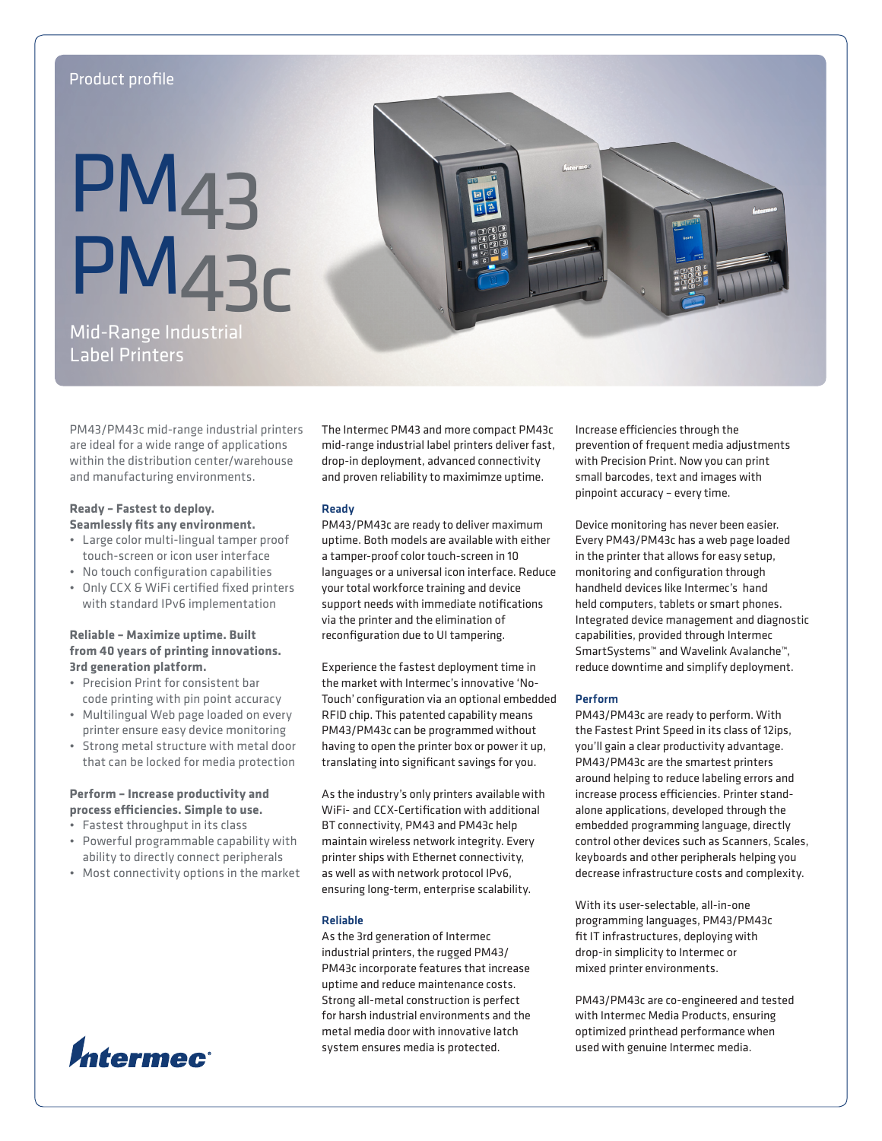# Product profile

# **PM<sub>43</sub>** PM43c



Mid-Range Industrial Label Printers

PM43/PM43c mid-range industrial printers are ideal for a wide range of applications within the distribution center/warehouse and manufacturing environments.

# **Ready – Fastest to deploy. Seamlessly fits any environment.**

- • Large color multi-lingual tamper proof touch-screen or icon user interface
- • No touch configuration capabilities
- • Only CCX & WiFi certified fixed printers with standard IPv6 implementation

# **Reliable – Maximize uptime. Built from 40 years of printing innovations. 3rd generation platform.**

- • Precision Print for consistent bar code printing with pin point accuracy
- • Multilingual Web page loaded on every printer ensure easy device monitoring
- Strong metal structure with metal door that can be locked for media protection

# **Perform – Increase productivity and process efficiencies. Simple to use.**

- • Fastest throughput in its class
- • Powerful programmable capability with ability to directly connect peripherals
- • Most connectivity options in the market



The Intermec PM43 and more compact PM43c mid-range industrial label printers deliver fast, drop-in deployment, advanced connectivity and proven reliability to maximimze uptime.

# Ready

PM43/PM43c are ready to deliver maximum uptime. Both models are available with either a tamper-proof color touch-screen in 10 languages or a universal icon interface. Reduce your total workforce training and device support needs with immediate notifications via the printer and the elimination of reconfiguration due to UI tampering.

Experience the fastest deployment time in the market with Intermec's innovative 'No-Touch' configuration via an optional embedded RFID chip. This patented capability means PM43/PM43c can be programmed without having to open the printer box or power it up, translating into significant savings for you.

As the industry's only printers available with WiFi- and CCX-Certification with additional BT connectivity, PM43 and PM43c help maintain wireless network integrity. Every printer ships with Ethernet connectivity, as well as with network protocol IPv6, ensuring long-term, enterprise scalability.

## Reliable

As the 3rd generation of Intermec industrial printers, the rugged PM43/ PM43c incorporate features that increase uptime and reduce maintenance costs. Strong all-metal construction is perfect for harsh industrial environments and the metal media door with innovative latch system ensures media is protected.

Increase efficiencies through the prevention of frequent media adjustments with Precision Print. Now you can print small barcodes, text and images with pinpoint accuracy – every time.

Device monitoring has never been easier. Every PM43/PM43c has a web page loaded in the printer that allows for easy setup, monitoring and configuration through handheld devices like Intermec's hand held computers, tablets or smart phones. Integrated device management and diagnostic capabilities, provided through Intermec SmartSystems™ and Wavelink Avalanche™, reduce downtime and simplify deployment.

## Perform

PM43/PM43c are ready to perform. With the Fastest Print Speed in its class of 12ips, you'll gain a clear productivity advantage. PM43/PM43c are the smartest printers around helping to reduce labeling errors and increase process efficiencies. Printer standalone applications, developed through the embedded programming language, directly control other devices such as Scanners, Scales, keyboards and other peripherals helping you decrease infrastructure costs and complexity.

With its user-selectable, all-in-one programming languages, PM43/PM43c fit IT infrastructures, deploying with drop-in simplicity to Intermec or mixed printer environments.

PM43/PM43c are co-engineered and tested with Intermec Media Products, ensuring optimized printhead performance when used with genuine Intermec media.